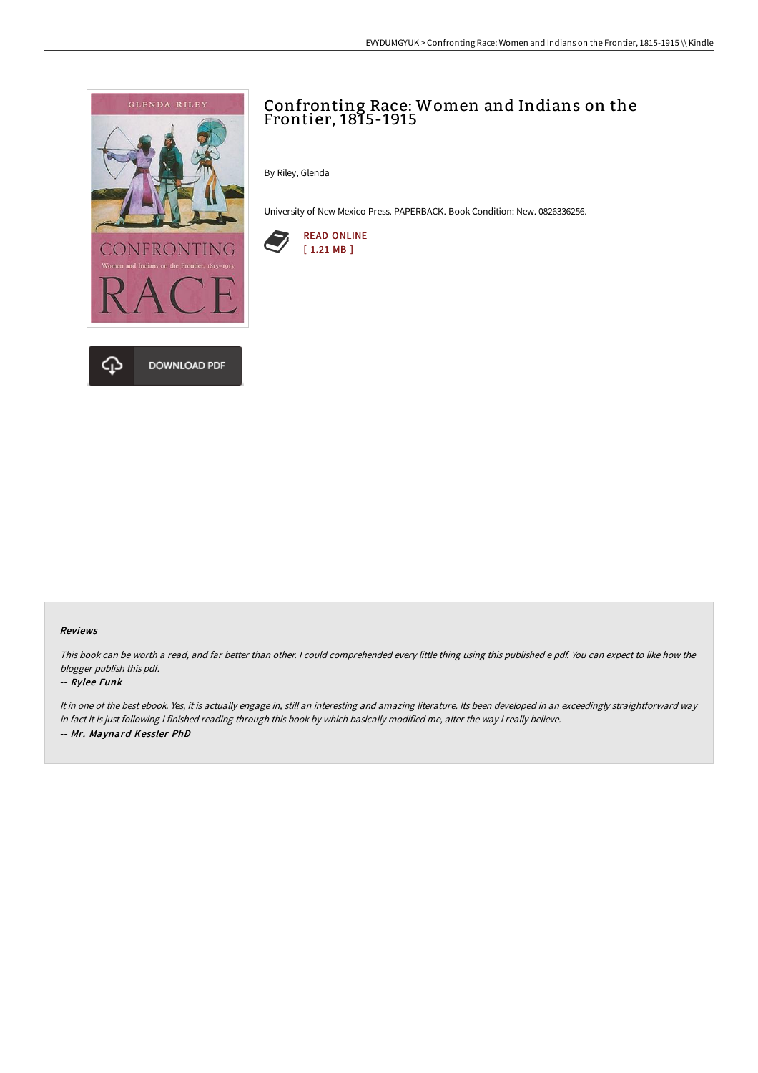

# Confronting Race: Women and Indians on the Frontier, 1815-1915

By Riley, Glenda

University of New Mexico Press. PAPERBACK. Book Condition: New. 0826336256.



#### Reviews

This book can be worth <sup>a</sup> read, and far better than other. <sup>I</sup> could comprehended every little thing using this published <sup>e</sup> pdf. You can expect to like how the blogger publish this pdf.

### -- Rylee Funk

It in one of the best ebook. Yes, it is actually engage in, still an interesting and amazing literature. Its been developed in an exceedingly straightforward way in fact it is just following i finished reading through this book by which basically modified me, alter the way i really believe. -- Mr. Maynard Kessler PhD